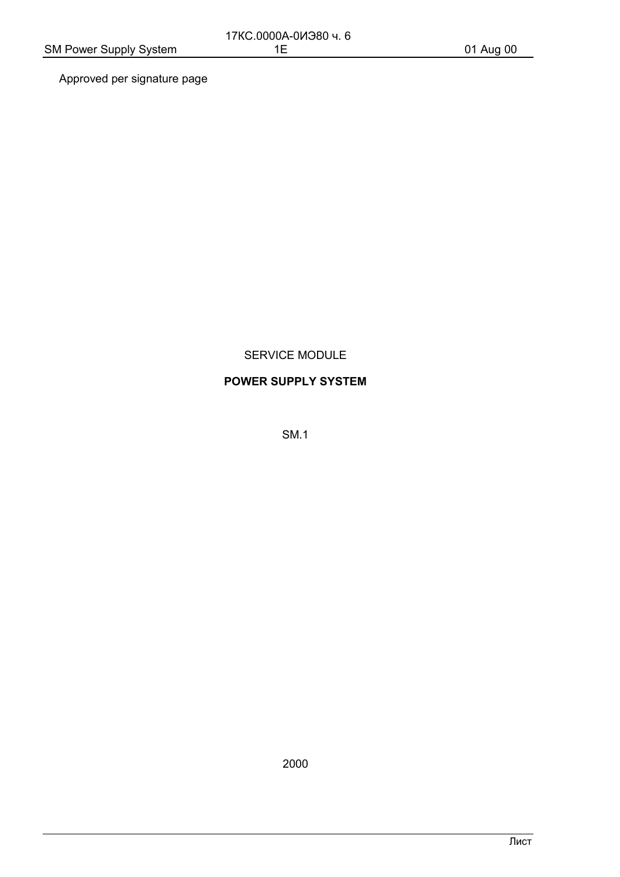Approved per signature page

#### SERVICE MODULE

#### **POWER SUPPLY SYSTEM**

**SM.1** 

2000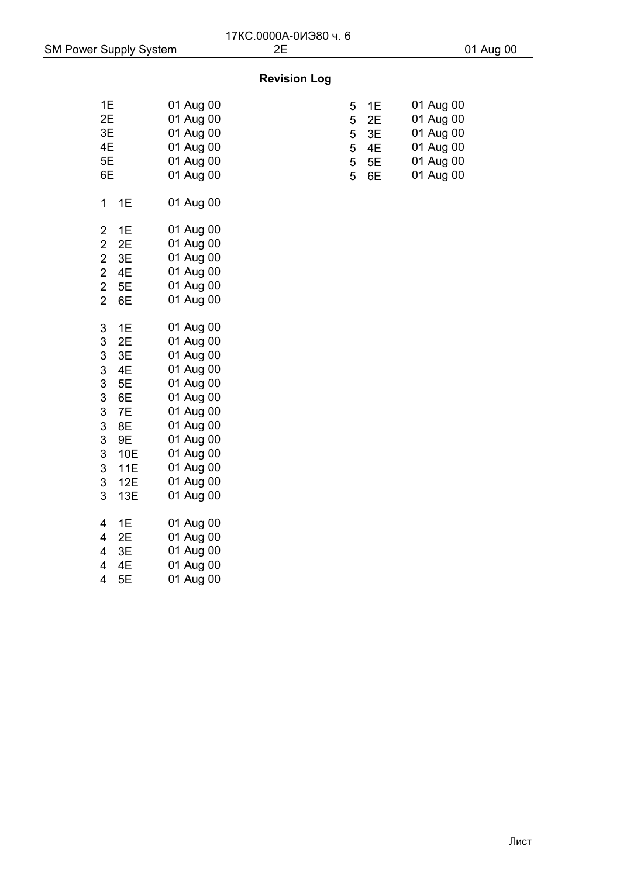## **Revision Log**

| 1E        | 01 Aug 00 | 5—1E     | 01 Aug 00 |
|-----------|-----------|----------|-----------|
| 2E        | 01 Aug 00 | $5 - 2E$ | 01 Aug 00 |
| 3E        | 01 Aug 00 | $5 - 3E$ | 01 Aug 00 |
| 4E        | 01 Aug 00 | $5 - 4E$ | 01 Aug 00 |
| 5E        | 01 Aug 00 | $5 - 5E$ | 01 Aug 00 |
| 6E        | 01 Aug 00 | $5 - 6E$ | 01 Aug 00 |
| $1 - 1E$  | 01 Aug 00 |          |           |
| $2 - 1E$  | 01 Aug 00 |          |           |
| $2 - 2E$  | 01 Aug 00 |          |           |
| $2 - 3E$  | 01 Aug 00 |          |           |
| $2 - 4E$  | 01 Aug 00 |          |           |
| $2 - 5E$  | 01 Aug 00 |          |           |
| $2 - 6E$  | 01 Aug 00 |          |           |
| $3 - 1E$  | 01 Aug 00 |          |           |
| $3 - 2E$  | 01 Aug 00 |          |           |
| $3 - 3E$  | 01 Aug 00 |          |           |
| $3-4E$    | 01 Aug 00 |          |           |
| $3 - 5E$  | 01 Aug 00 |          |           |
| $3 - 6E$  | 01 Aug 00 |          |           |
| $3 - 7E$  | 01 Aug 00 |          |           |
| $3 - 8E$  | 01 Aug 00 |          |           |
| $3 - 9E$  | 01 Aug 00 |          |           |
| $3 - 10E$ | 01 Aug 00 |          |           |
| $3 - 11E$ | 01 Aug 00 |          |           |
| $3 - 12E$ | 01 Aug 00 |          |           |
| $3 - 13E$ | 01 Aug 00 |          |           |
| $4 - 1E$  | 01 Aug 00 |          |           |
| $4 - 2E$  | 01 Aug 00 |          |           |
| $4 - 3E$  | 01 Aug 00 |          |           |
| $4-4E$    | 01 Aug 00 |          |           |
| $4 - 5E$  | 01 Aug 00 |          |           |
|           |           |          |           |

| 1E | 01 Aug 00 | $5 - 1E$          | 01 Aug 00 |
|----|-----------|-------------------|-----------|
| 2Е | 01 Aug 00 | $5 - 2E$          | 01 Aug 00 |
| 3E | 01 Aug 00 | $5 - 3E$          | 01 Aug 00 |
| 4Ε | 01 Aug 00 | 5 <sup>-4</sup> E | 01 Aug 00 |
| 5E | 01 Aug 00 | $5 - 5E$          | 01 Aug 00 |
| 6E | 01 Aug 00 | $5 - 6E$          | 01 Aug 00 |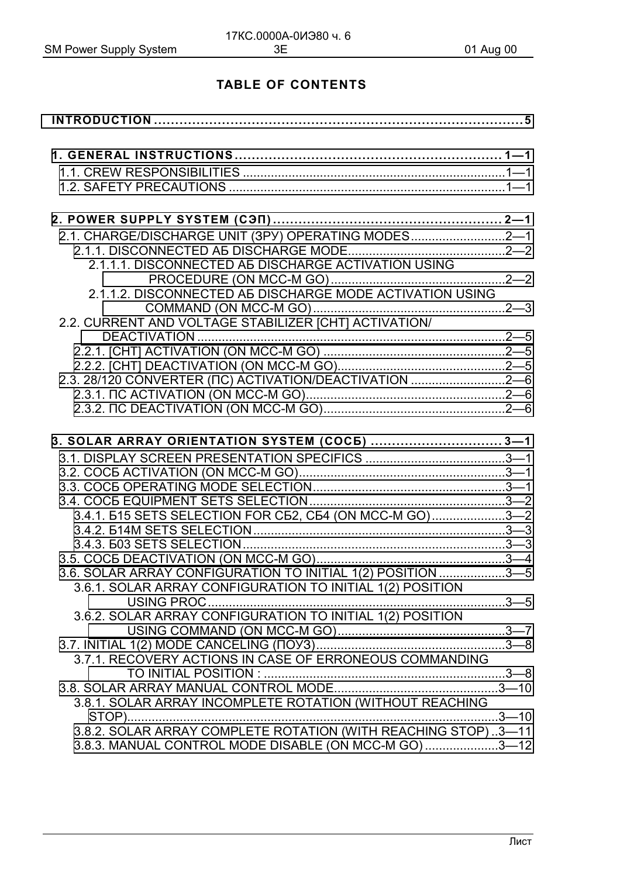# **TABLE OF CONTENTS**

| 2.1. CHARGE/DISCHARGE UNIT (3PY) OPERATING MODES2-1           |  |
|---------------------------------------------------------------|--|
|                                                               |  |
| 2.1.1.1. DISCONNECTED A5 DISCHARGE ACTIVATION USING           |  |
|                                                               |  |
| 2.1.1.2. DISCONNECTED A5 DISCHARGE MODE ACTIVATION USING      |  |
|                                                               |  |
| 2.2. CURRENT AND VOLTAGE STABILIZER [CHT] ACTIVATION/         |  |
|                                                               |  |
|                                                               |  |
|                                                               |  |
| 2.3. 28/120 CONVERTER (ПС) ACTIVATION/DEACTIVATION 2-6        |  |
|                                                               |  |
|                                                               |  |
|                                                               |  |
| 3. SOLAR ARRAY ORIENTATION SYSTEM (COC5)  3-1                 |  |
|                                                               |  |
|                                                               |  |
|                                                               |  |
|                                                               |  |
| 3.4.1. 515 SETS SELECTION FOR C52, C54 (ON MCC-M GO)3-2       |  |
|                                                               |  |
|                                                               |  |
|                                                               |  |
| 3.6. SOLAR ARRAY CONFIGURATION TO INITIAL 1(2) POSITION 3-5   |  |
| 3.6.1. SOLAR ARRAY CONFIGURATION TO INITIAL 1(2) POSITION     |  |
|                                                               |  |
| 3.6.2. SOLAR ARRAY CONFIGURATION TO INITIAL 1(2) POSITION     |  |
|                                                               |  |
|                                                               |  |
| 3.7.1. RECOVERY ACTIONS IN CASE OF ERRONEOUS COMMANDING       |  |
|                                                               |  |
|                                                               |  |
| 3.8.1. SOLAR ARRAY INCOMPLETE ROTATION (WITHOUT REACHING      |  |
|                                                               |  |
| 3.8.2. SOLAR ARRAY COMPLETE ROTATION (WITH REACHING STOP)3-11 |  |
| 3.8.3. MANUAL CONTROL MODE DISABLE (ON MCC-M GO)3-12          |  |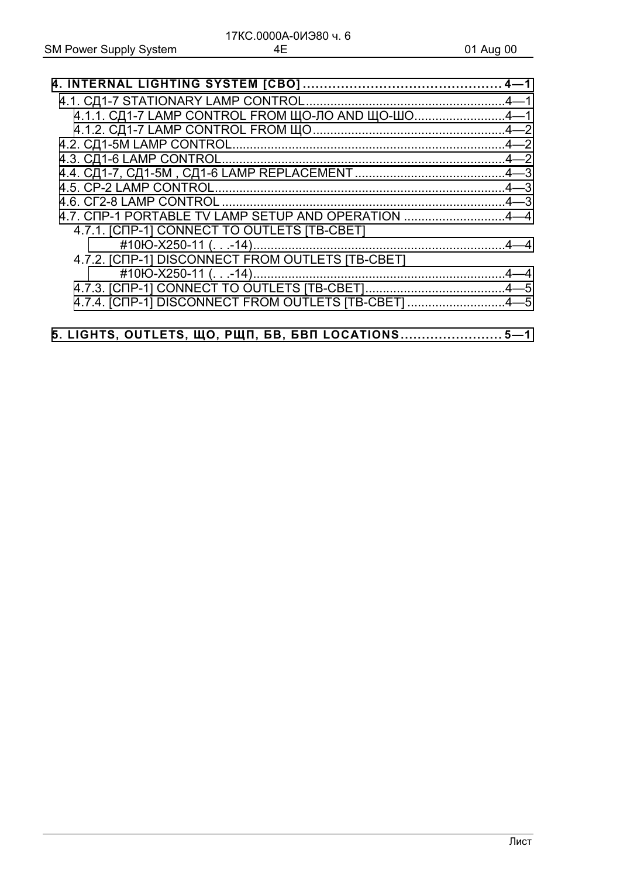| 4.1.1. СД1-7 LAMP CONTROL FROM ЩО-ЛО AND ЩО-ШО4-1    |  |
|------------------------------------------------------|--|
|                                                      |  |
|                                                      |  |
|                                                      |  |
|                                                      |  |
|                                                      |  |
|                                                      |  |
| 4.7. CNP-1 PORTABLE TV LAMP SETUP AND OPERATION 4-4  |  |
| 4.7.1. [CNP-1] CONNECT TO OUTLETS [TB-CBET]          |  |
|                                                      |  |
| 4.7.2. [CNP-1] DISCONNECT FROM OUTLETS [TB-CBET]     |  |
|                                                      |  |
|                                                      |  |
| 4.7.4. [CNP-1] DISCONNECT FROM OUTLETS [TB-CBET] 4-5 |  |
|                                                      |  |
| 5. LIGHTS, OUTLETS, ЩО, РЩП, БВ, БВП LOCATIONS 5-1   |  |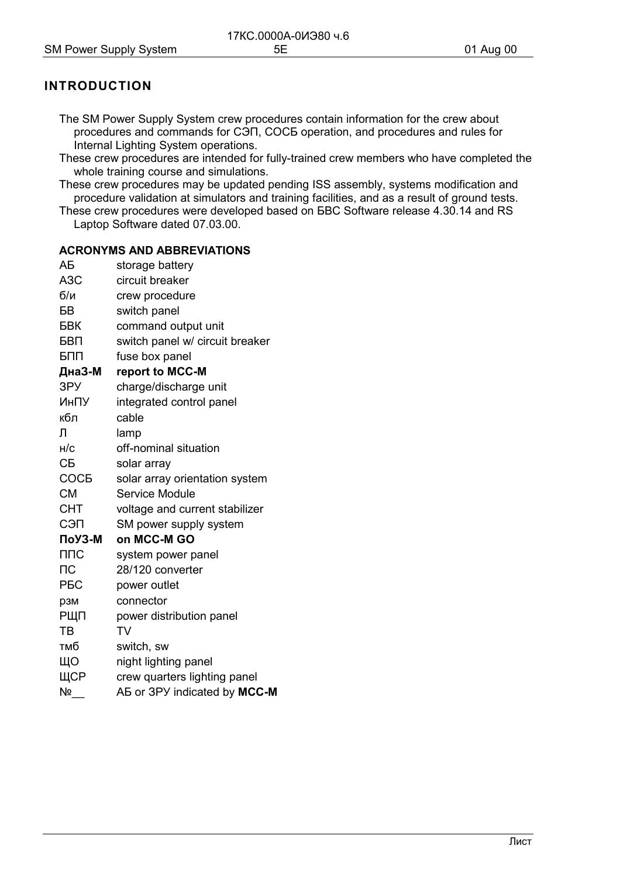# <span id="page-4-0"></span>**INTRODUCTION**

- The SM Power Supply System crew procedures contain information for the crew about procedures and commands for C<sub>3</sub> m, COC<sub>b</sub> operation, and procedures and rules for Internal Lighting System operations.
- These crew procedures are intended for fully-trained crew members who have completed the whole training course and simulations.
- These crew procedures may be updated pending ISS assembly, systems modification and procedure validation at simulators and training facilities, and as a result of ground tests.
- These crew procedures were developed based on BBC Software release 4.30.14 and RS Laptop Software dated 07.03.00.

#### **ACRONYMS AND ABBREVIATIONS**

| ΑБ                    | storage battery                 |
|-----------------------|---------------------------------|
| A <sub>3</sub> C      | circuit breaker                 |
| 6/n                   | crew procedure                  |
| БB                    | switch panel                    |
| БВК                   | command output unit             |
| БВП                   | switch panel w/ circuit breaker |
| БПП                   | fuse box panel                  |
| ДнаЗ-М                | report to MCC-M                 |
| 3PY                   | charge/discharge unit           |
| ИнПУ                  | integrated control panel        |
| кбл                   | cable                           |
| Л                     | lamp                            |
| H/C                   | off-nominal situation           |
| CБ                    | solar array                     |
| <b>COCE</b>           | solar array orientation system  |
| <b>CM</b>             | Service Module                  |
| <b>CHT</b>            | voltage and current stabilizer  |
| СЭП                   | SM power supply system          |
| ПоУЗ-М                | on MCC-M GO                     |
| $\Pi \Pi C$           | system power panel              |
| $\sqcap$ C            | 28/120 converter                |
| <b>P<sub>BC</sub></b> | power outlet                    |
| рзм                   | connector                       |
| РЩП                   | power distribution panel        |
| TB                    | <b>TV</b>                       |
| тмб                   | switch, sw                      |
| ЩО                    | night lighting panel            |
| ЩСР                   | crew quarters lighting panel    |
| $N^{\circ}$           | AB or 3PY indicated by MCC-M    |
|                       |                                 |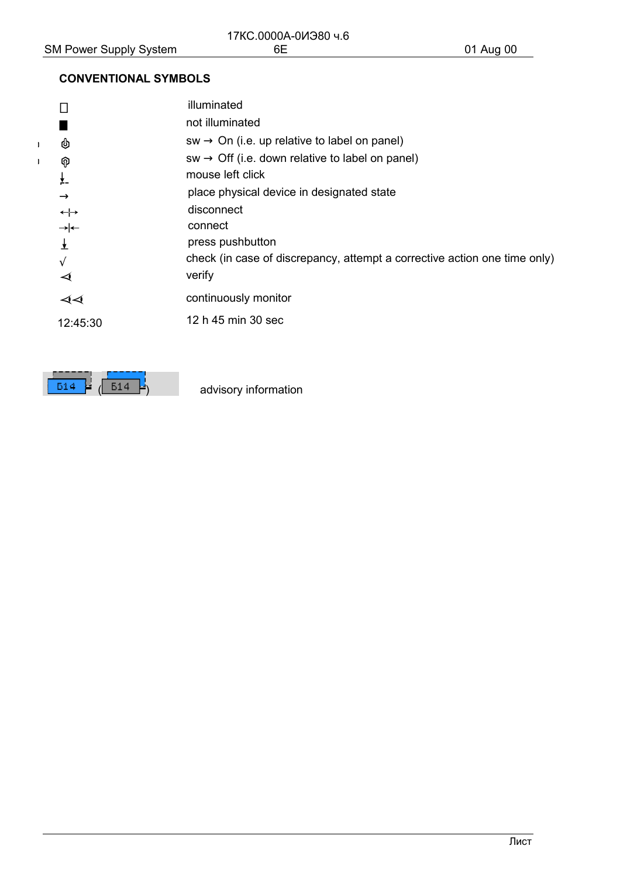$\mathbf{I}$  $\bar{1}$ 

# **CONVENTIONAL SYMBOLS**

|            |                      | illuminated                                                               |
|------------|----------------------|---------------------------------------------------------------------------|
|            |                      | not illuminated                                                           |
|            | ♨                    | $sw \rightarrow On$ (i.e. up relative to label on panel)                  |
|            | စု                   | $sw \rightarrow \text{Off}$ (i.e. down relative to label on panel)        |
|            | $\frac{1}{2}$        | mouse left click                                                          |
|            | $\rightarrow$        | place physical device in designated state                                 |
|            | $\leftrightarrow$    | disconnect                                                                |
|            |                      | connect                                                                   |
|            | $\frac{1}{2}$        | press pushbutton                                                          |
| $\sqrt{2}$ |                      | check (in case of discrepancy, attempt a corrective action one time only) |
|            | $\blacktriangleleft$ | verify                                                                    |
|            | ৰৰ                   | continuously monitor                                                      |
|            | 12:45:30             | 12 h 45 min 30 sec                                                        |
|            |                      |                                                                           |

 $\overline{514}$  $\overline{514}$ μ.

advisory information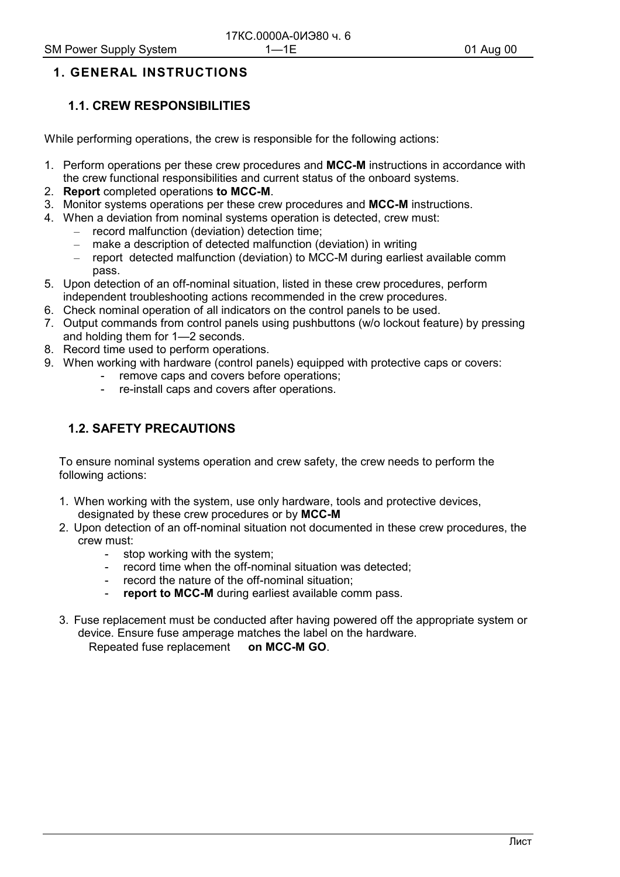## <span id="page-6-0"></span>**1. GENERAL INSTRUCTIONS**

## **1.1. CREW RESPONSIBILITIES**

While performing operations, the crew is responsible for the following actions:

- 1. Perform operations per these crew procedures and **MCC-M** instructions in accordance with the crew functional responsibilities and current status of the onboard systems.
- 2. **Report** completed operations **to MCC-M**.
- 3. Monitor systems operations per these crew procedures and **MCC-M** instructions.
- 4. When a deviation from nominal systems operation is detected, crew must:
	- record malfunction (deviation) detection time;
	- make a description of detected malfunction (deviation) in writing
	- report detected malfunction (deviation) to MCC-M during earliest available comm pass.
- 5. Upon detection of an off-nominal situation, listed in these crew procedures, perform independent troubleshooting actions recommended in the crew procedures.
- 6. Check nominal operation of all indicators on the control panels to be used.
- 7. Output commands from control panels using pushbuttons (w/o lockout feature) by pressing and holding them for 1—2 seconds.
- 8. Record time used to perform operations.
- 9. When working with hardware (control panels) equipped with protective caps or covers:
	- remove caps and covers before operations;
		- re-install caps and covers after operations.

#### **1.2. SAFETY PRECAUTIONS**

To ensure nominal systems operation and crew safety, the crew needs to perform the following actions:

- 1. When working with the system, use only hardware, tools and protective devices, designated by these crew procedures or by **MCC-M**
- 2. Upon detection of an off-nominal situation not documented in these crew procedures, the crew must:
	- stop working with the system;
	- record time when the off-nominal situation was detected;
	- record the nature of the off-nominal situation;
	- report to MCC-M during earliest available comm pass.
- 3. Fuse replacement must be conducted after having powered off the appropriate system or device. Ensure fuse amperage matches the label on the hardware.

Repeated fuse replacement **- on MCC-M GO**.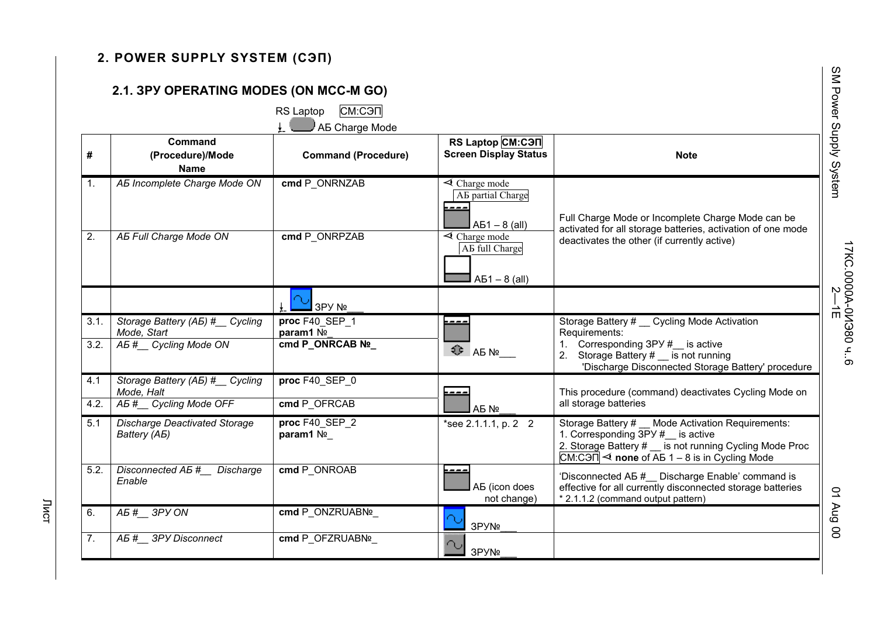# <span id="page-7-0"></span>2. POWER SUPPLY SYSTEM (C9N)

# 2.1. 3PY OPERATING MODES (ON MCC-M GO)

RS Laptop СМ:СЭП

|  | A AB Charge Mode |  |
|--|------------------|--|
|  |                  |  |

|                |                                                      | AB Charge Mode              |                                                                            |                                                                                                                                                                                                        |
|----------------|------------------------------------------------------|-----------------------------|----------------------------------------------------------------------------|--------------------------------------------------------------------------------------------------------------------------------------------------------------------------------------------------------|
| #              | Command<br>(Procedure)/Mode<br><b>Name</b>           | <b>Command (Procedure)</b>  | RS Laptop CM:C <sub>3</sub> N<br><b>Screen Display Status</b>              | <b>Note</b>                                                                                                                                                                                            |
| $\mathbf{1}$ . | AB Incomplete Charge Mode ON                         | cmd P ONRNZAB               | $\triangleleft$ Charge mode<br>AE partial Charge<br>---<br>$AB1 - 8$ (all) | Full Charge Mode or Incomplete Charge Mode can be<br>activated for all storage batteries, activation of one mode                                                                                       |
| 2.             | AB Full Charge Mode ON                               | cmd P ONRPZAB               | $\triangleleft$ Charge mode<br>AB full Charge<br>$AB1 - 8$ (all)           | deactivates the other (if currently active)                                                                                                                                                            |
|                |                                                      | 3PY Nº                      |                                                                            |                                                                                                                                                                                                        |
| 3.1.           | Storage Battery (AB) #__ Cycling<br>Mode, Start      | proc F40 SEP 1<br>param1 No | <u>.</u>                                                                   | Storage Battery # _ Cycling Mode Activation<br>Requirements:                                                                                                                                           |
| 3.2.           | AB # Cycling Mode ON                                 | cmd P_ONRCAB Nº             | $4$ AB $N$ <sup>2</sup>                                                    | Corresponding $3Py #$ is active<br>2. Storage Battery # __ is not running<br>'Discharge Disconnected Storage Battery' procedure                                                                        |
| 4.1            | Storage Battery (AB) #__ Cycling<br>Mode, Halt       | proc F40 SEP 0              |                                                                            | This procedure (command) deactivates Cycling Mode on                                                                                                                                                   |
| 4.2.           | AB #__ Cycling Mode OFF                              | cmd P OFRCAB                | A <sub>D</sub> Nº                                                          | all storage batteries                                                                                                                                                                                  |
| 5.1            | <b>Discharge Deactivated Storage</b><br>Battery (AB) | proc F40_SEP_2<br>param1 No | *see 2.1.1.1, p. 2-2                                                       | Storage Battery # Mode Activation Requirements:<br>1. Corresponding 3PY #__ is active<br>2. Storage Battery # __ is not running Cycling Mode Proc<br>$CM: C3\Pi$ < none of AB 1 – 8 is in Cycling Mode |
| 5.2.           | Disconnected AB # Discharge<br>Enable                | cmd P ONROAB                | ----<br>AB (icon does<br>not change)                                       | 'Disconnected AB # Discharge Enable' command is<br>effective for all currently disconnected storage batteries<br>* 2.1.1.2 (command output pattern)                                                    |
| 6.             | A5# 3PY ON                                           | cmd P ONZRUABNº             | 3PYN <sup>o</sup>                                                          |                                                                                                                                                                                                        |
| 7.             | AB # 3PY Disconnect                                  | cmd P OFZRUABNº             | 3PYN <sup>o</sup>                                                          |                                                                                                                                                                                                        |

00 BnV 10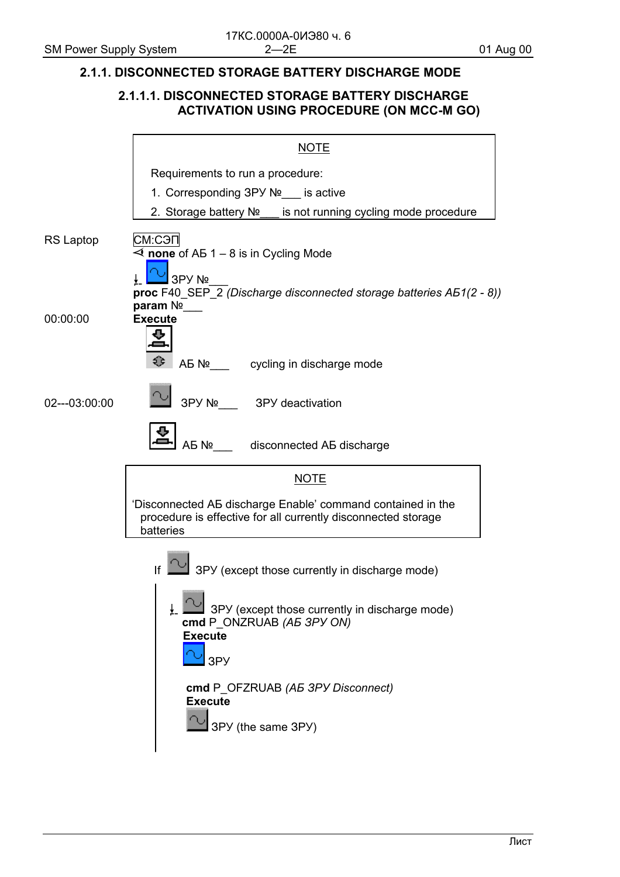#### <span id="page-8-0"></span>**2.1.1. DISCONNECTED STORAGE BATTERY DISCHARGE MODE**

#### **2.1.1.1. DISCONNECTED STORAGE BATTERY DISCHARGE ACTIVATION USING PROCEDURE (ON MCC-M GO)**

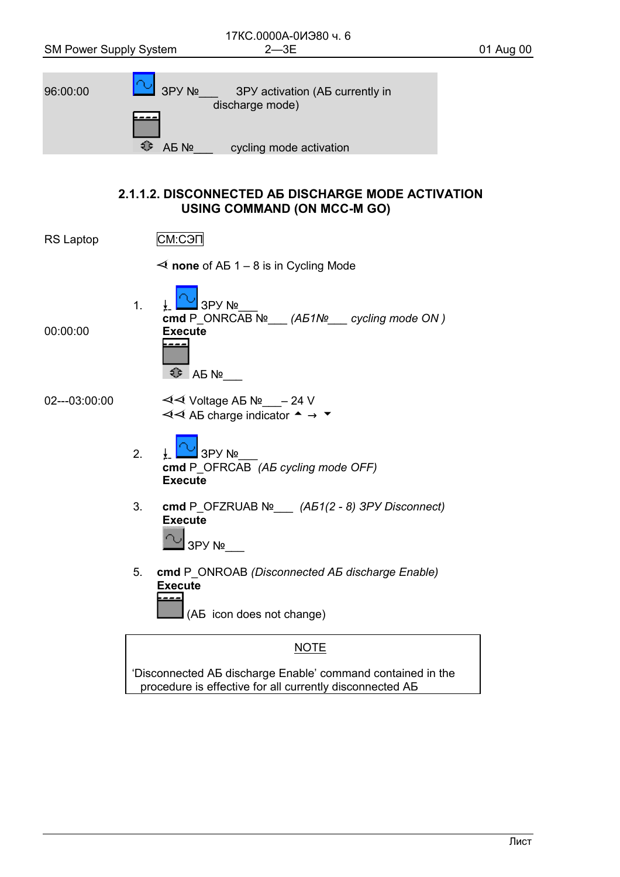<span id="page-9-0"></span>

'Disconnected AB discharge Enable' command contained in the procedure is effective for all currently disconnected AB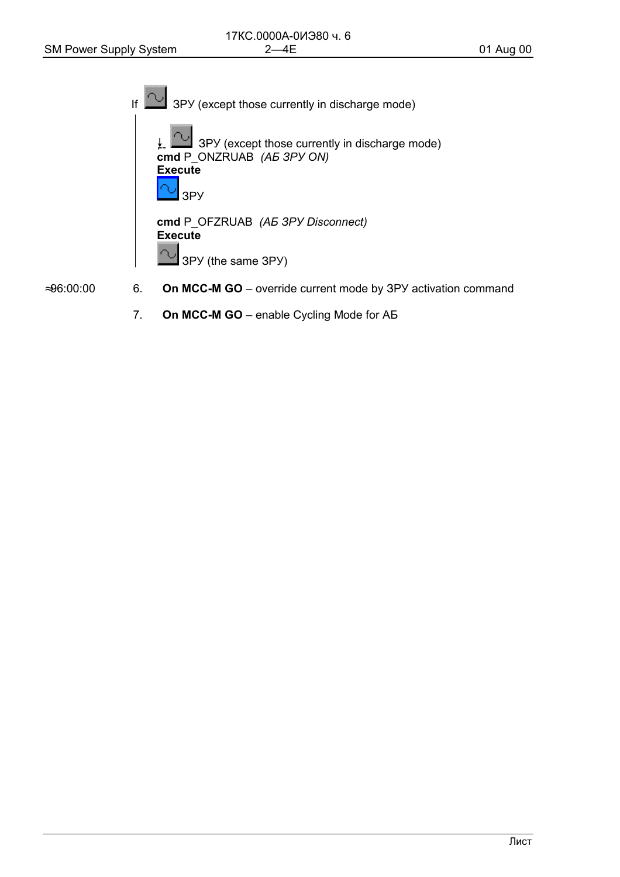If  $\infty$ 3PY (except those currently in discharge mode)  $\underline{\downarrow}$  3PY (except those currently in discharge mode)<br>cmd P\_ONZRUAB (A5 3PY ON) **Execute** 3P<sub>y</sub> cmd P\_OFZRUAB (A5 3PY Disconnect) **Execute** с 3PY (the same 3PY)

 $≈96:00:00$ 

- On MCC-M GO override current mode by 3PY activation command 6.
	- $\overline{7}$ . On MCC-M GO - enable Cycling Mode for AB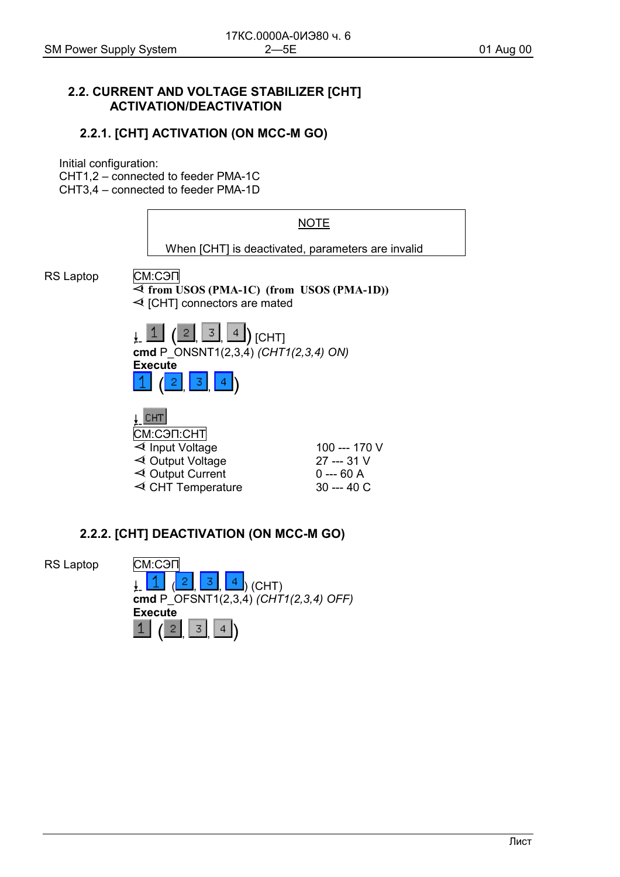#### <span id="page-11-0"></span>**2.2. CURRENT AND VOLTAGE STABILIZER [СНТ] ACTIVATION/DEACTIVATION**

#### **2.2.1. [СНТ] ACTIVATION (ON MCC-M GO)**

Initial configuration:

СНТ1,2 – connected to feeder РМА-1С

СНТ3,4 – connected to feeder РМА-1D



#### **2.2.2. [СНТ] DEACTIVATION (ON MCC-M GO)**

RS Laptop **CM:СЭП** 

 $\frac{2}{1}$ ,  $\frac{3}{1}$ ,  $\frac{4}{1}$ ) (CHT) **cmd** P\_OFSNT1(2,3,4) *(СНТ1(2,3,4) OFF)* **Execute**  $\boxed{1}$   $\boxed{2}$   $\boxed{3}$   $\boxed{4}$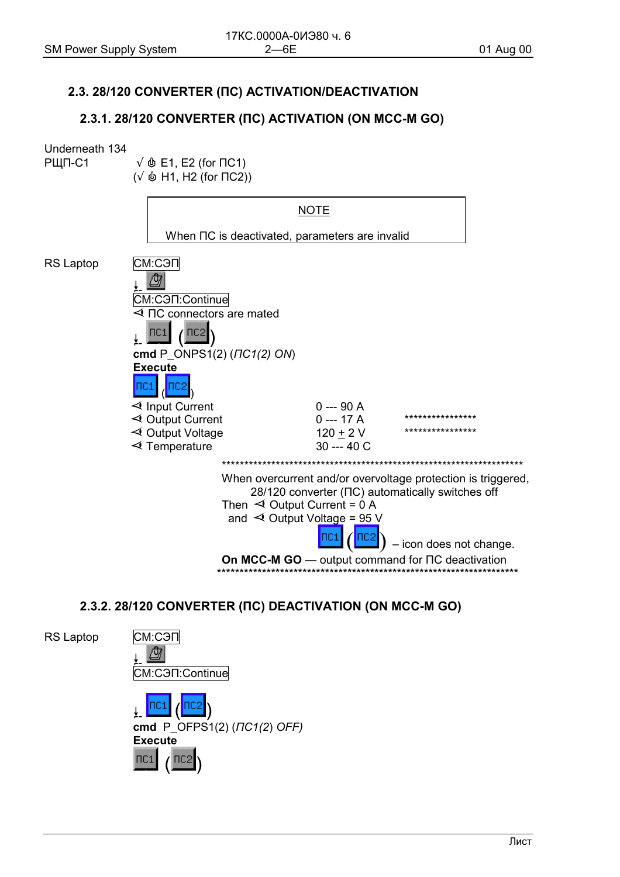#### <span id="page-12-0"></span>2.3. 28/120 CONVERTER (NC) ACTIVATION/DEACTIVATION

#### 2.3.1. 28/120 CONVERTER (IIC) ACTIVATION (ON MCC-M GO)

#### Underneath 134

РЩП-С1

 $\sqrt{\phi}$  E1, E2 (for  $\Pi$ C1)

 $(\sqrt{\phi}$  H1, H2 (for  $\Pi$ C2))



### 2.3.2. 28/120 CONVERTER (IIC) DEACTIVATION (ON MCC-M GO)

**RS Laptop** СМ:СЭП /ਹੈ7 CM:C<sub>3</sub>n:Continue cmd P  $OFPS1(2) (TC1(2) OFF)$ **Execute**  $\Pi$ C<sub>1</sub>  $ncz$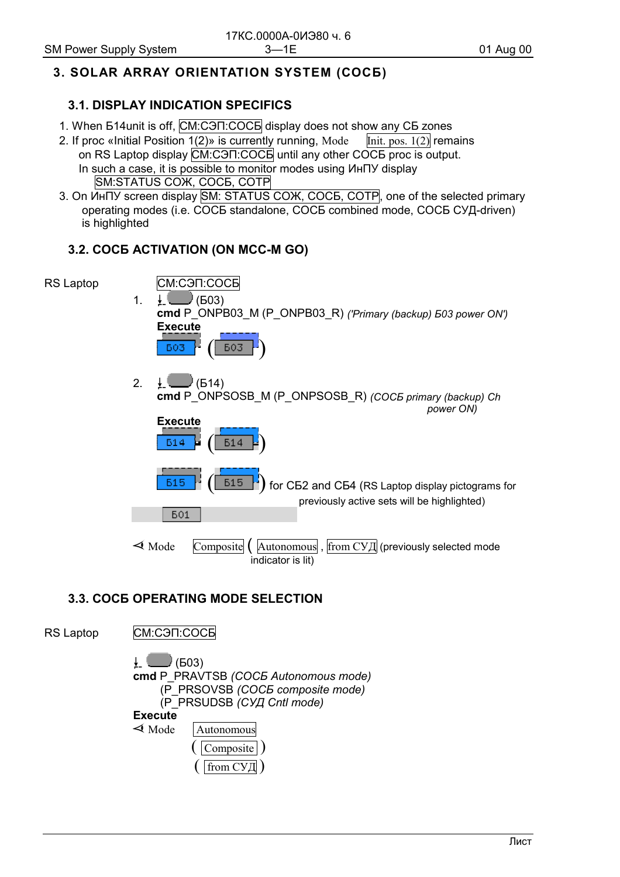## <span id="page-13-0"></span>3. SOLAR ARRAY ORIENTATION SYSTEM (COC5)

#### **3.1. DISPLAY INDICATION SPECIFICS**

- 1. When 514 unit is off, CM:COTI:COCE display does not show any CE zones
- 2. If proc «Initial Position 1(2)» is currently running, Mode  $\overline{\text{Init}}$ , pos. 1(2) remains on RS Laptop display CM:COTI:COCE until any other COCE proc is output. In such a case, it is possible to monitor modes using  $MHTY$  display **SM:STATUS COX, COCE, COTP**
- 3. On ИнПУ screen display SM: STATUS COЖ, СОСБ, СОТР, one of the selected primary operating modes (i.e. COCE standalone, COCE combined mode, COCE CYD-driven) is highlighted

#### 3.2. COCE ACTIVATION (ON MCC-M GO)



### **3.3. COCE OPERATING MODE SELECTION**

**RS Laptop** 

CM:C<sub>3</sub>N:COC<sub>B</sub>

↓∣  $\bigcup$  (603) cmd P PRAVTSB (COC5 Autonomous mode) (P PRSOVSB (COC5 composite mode) (P PRSUDSB (CYA Cntl mode) **Execute**  $\triangleleft$  Mode — Autonomous Composite from СУЛ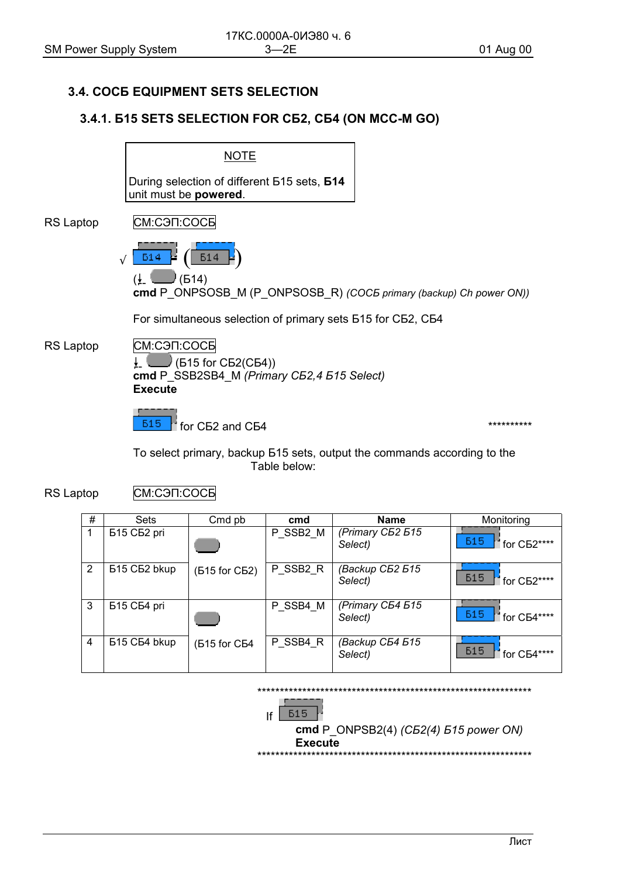#### <span id="page-14-0"></span>3.4. COCE EQUIPMENT SETS SELECTION

#### 3.4.1. 515 SETS SELECTION FOR C52, C54 (ON MCC-M GO)



CM:C<sub>3</sub>n:COC<sub>b</sub> **RS Laptop** 

| # | <b>Sets</b>                          | Cmd pb        | cmd      | <b>Name</b>                 | Monitoring                             |
|---|--------------------------------------|---------------|----------|-----------------------------|----------------------------------------|
|   | Б <sub>15</sub> СБ <sub>2</sub> pri  |               | P_SSB2_M | (Primary C52 515<br>Select) | <b>515</b><br>for C <sub>B2</sub> **** |
| 2 | Б <sub>15</sub> СБ <sub>2</sub> bkup | (615 for C62) | P SSB2 R | (Backup C52 515<br>Select)  | <b>515</b><br>for C <sub>b2</sub> **** |
| 3 | Б <sub>15</sub> СБ4 pri              |               | P SSB4 M | (Primary C54 515<br>Select) | <b>615</b><br>for C <sub>B4</sub> **** |
| 4 | Б <sub>15</sub> СБ4 bkup             | (615 for C64  | P_SSB4_R | (Backup C54 515<br>Select)  | <b>515</b><br>for C <sub>B4</sub> **** |

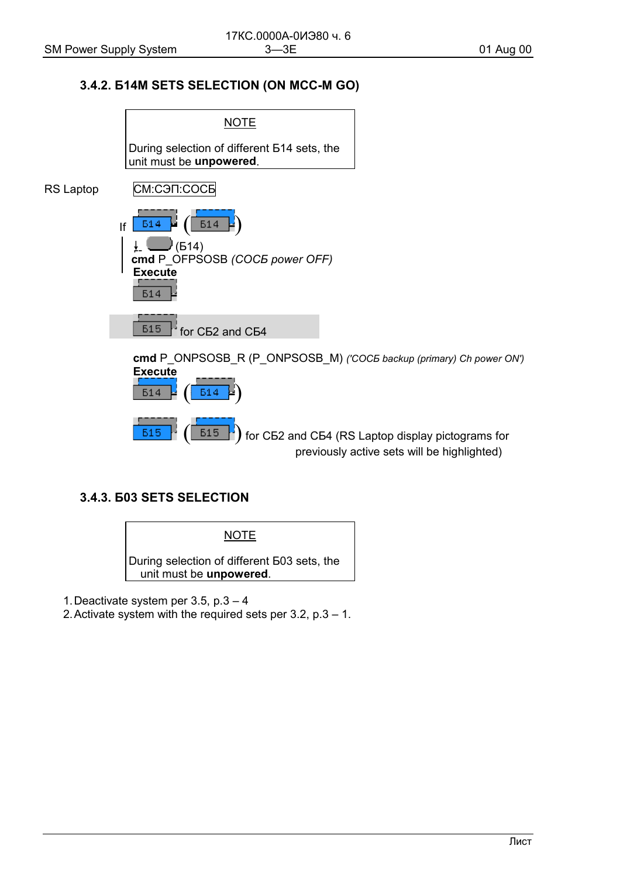#### 3.4.2. 514M SETS SELECTION (ON MCC-M GO)

<span id="page-15-0"></span>

### 3.4.3. 603 SETS SELECTION

**NOTE** During selection of different E03 sets, the unit must be unpowered.

1. Deactivate system per 3.5,  $p.3 - 4$ 

2. Activate system with the required sets per 3.2,  $p.3 - 1$ .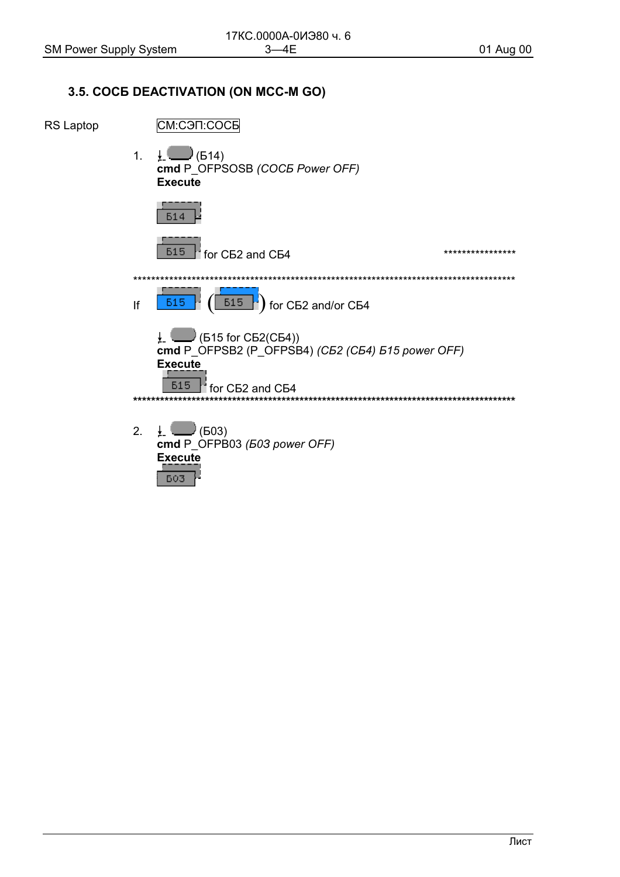#### <span id="page-16-0"></span>3.5. COCE DEACTIVATION (ON MCC-M GO)

RS Laptop

СМ:СЭП:СОСБ

1.  $\downarrow$  (514) cmd P OFPSOSB (COCE Power OFF) **Execute** 

**615**  $\frac{1}{2}$  for CE2 and CE4 \*\*\*\*\*\*\*\*\*\*\*\*\*\*\*\*  $\begin{bmatrix} 615 \\ 1 \end{bmatrix}$  for CE2 and/or CE4 **615** lf  $\frac{1}{2}$  (615 for C62(C64))

 $\overline{CD}$  C  $\overline{CP}$  C  $\overline{CP}$  C  $\overline{CP}$  C  $\overline{CP}$  C  $\overline{CP}$  C  $\overline{P}$  (C  $\overline{B}$  2 (C  $\overline{B}$  2 (C  $\overline{B}$  4)  $\overline{B}$  (C  $\overline{B}$  2 (C  $\overline{B}$  4)  $\overline{B}$  15 power OFF) **Execute**  $\Gamma$  for C52 and C54 **615** 

- 
- $2.$  $\downarrow$  (503) cmd P\_OFPB03 (503 power OFF) **Execute** 603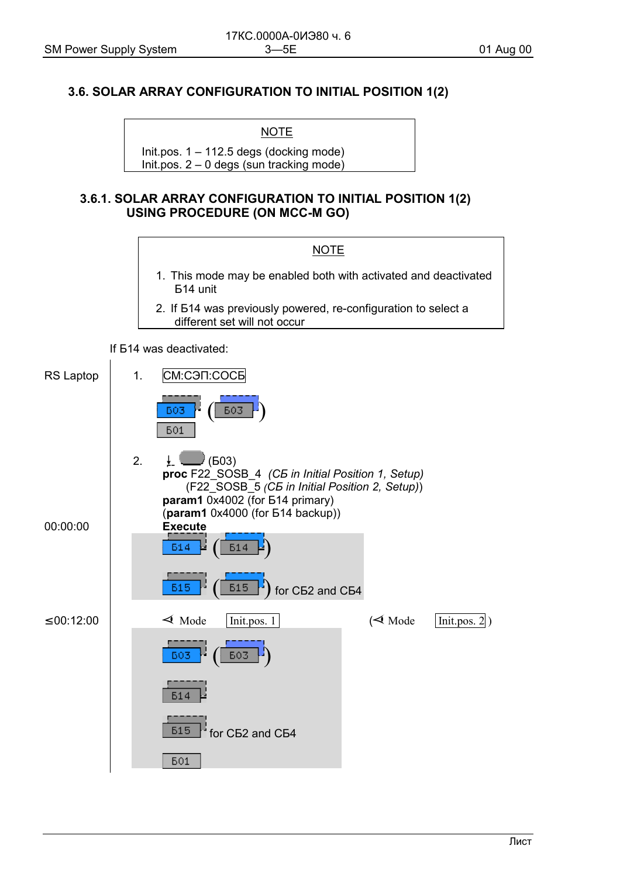## <span id="page-17-0"></span>**3.6. SOLAR ARRAY CONFIGURATION TO INITIAL POSITION 1(2)**

**NOTE** 

Init.pos. 1 – 112.5 degs (docking mode) Init.pos. 2 – 0 degs (sun tracking mode)

#### **3.6.1. SOLAR ARRAY CONFIGURATION TO INITIAL POSITION 1(2) USING PROCEDURE (ON MCC-M GO)**



If Б14 was deactivated:

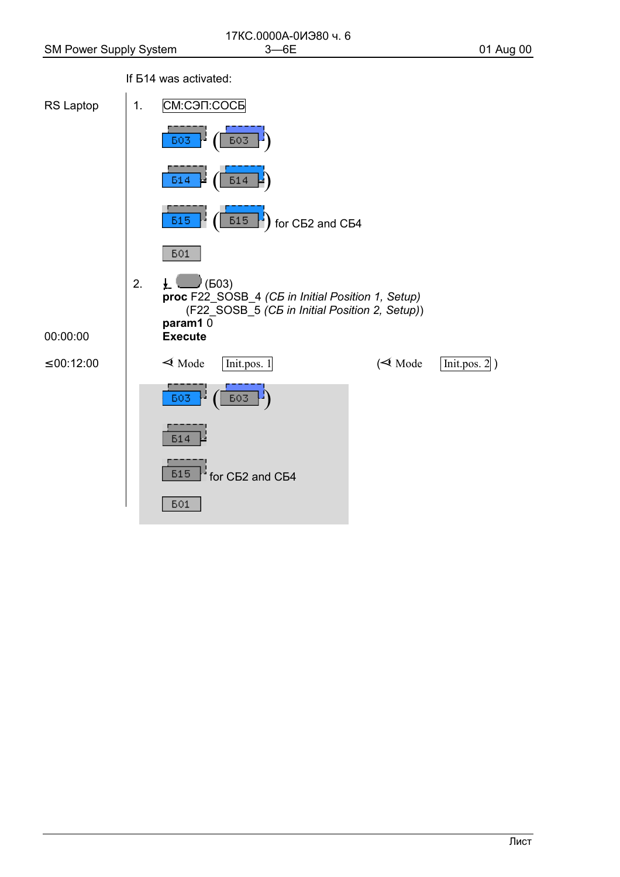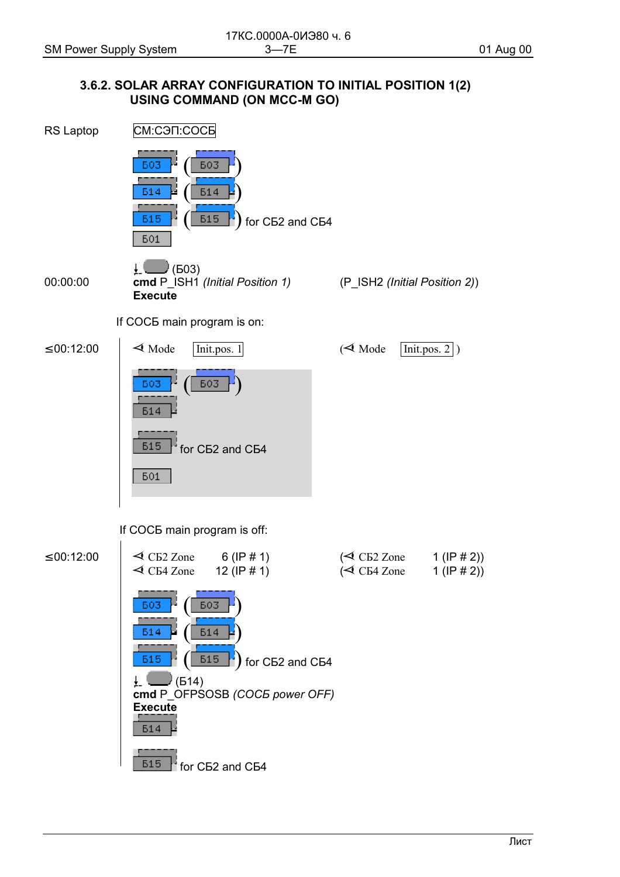#### <span id="page-19-0"></span>3.6.2. SOLAR ARRAY CONFIGURATION TO INITIAL POSITION 1(2) USING COMMAND (ON MCC-M GO)

![](_page_19_Figure_4.jpeg)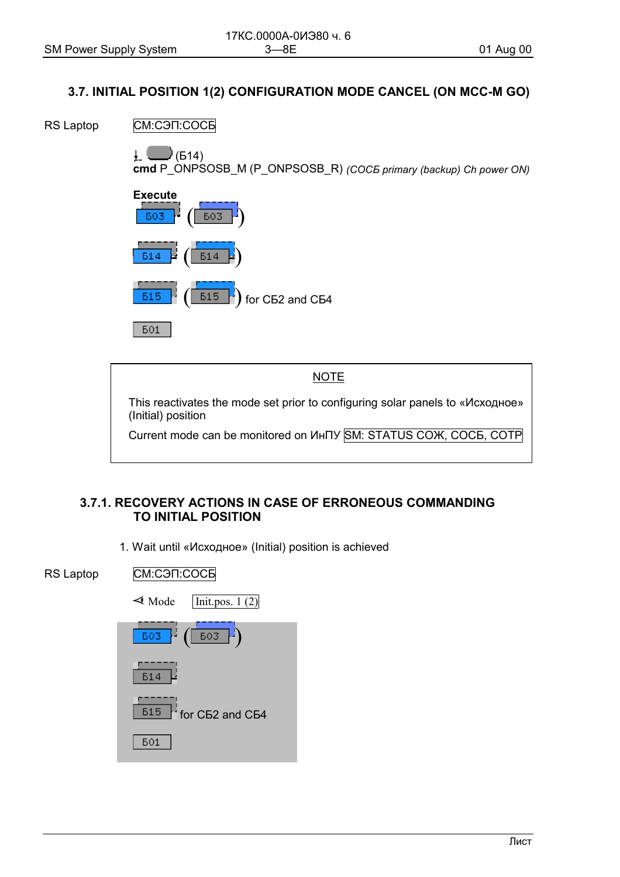#### <span id="page-20-0"></span>3.7. INITIAL POSITION 1(2) CONFIGURATION MODE CANCEL (ON MCC-M GO)

RS Laptop СМ:СЭП:СОСБ

> $\bigcup$  (614) ↓∣

cmd P\_ONPSOSB\_M (P\_ONPSOSB\_R) (COC5 primary (backup) Ch power ON)

![](_page_20_Figure_7.jpeg)

**501** 

This reactivates the mode set prior to configuring solar panels to «Исходное» (Initial) position

**NOTE** 

Current mode can be monitored on *V*HITY SM: STATUS COX, COCE, COTP

### 3.7.1. RECOVERY ACTIONS IN CASE OF ERRONEOUS COMMANDING **TO INITIAL POSITION**

1. Wait until «Исходное» (Initial) position is achieved

**RS Laptop** CM:C<sub>3</sub>N:COC<sub>B</sub>

![](_page_20_Figure_14.jpeg)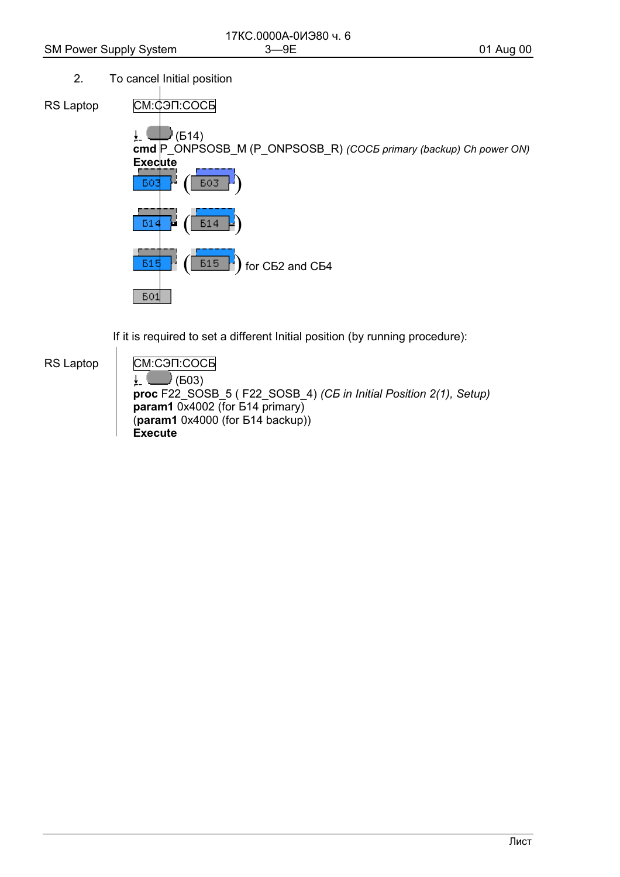$2.$ To cancel Initial position

RS Laptop

СМ:ФЭП:СОСБ  $\Box$  (614)  $\frac{1}{2}$ cmd P\_ONPSOSB\_M (P\_ONPSOSB\_R) (COC5 primary (backup) Ch power ON) **Execute 603** БO. **61** for CE2 and CE4 **515 615 601** 

If it is required to set a different Initial position (by running procedure):

**RS Laptop** 

СМ:СЭП:СОСБ  $\bigcup$  (603)  $\downarrow$ proc F22\_SOSB\_5 (F22\_SOSB\_4) (C5 in Initial Position 2(1), Setup) param1  $0x4002$  (for  $514$  primary)  $(\text{param1 } 0x4000 \text{ (for } 514 \text{ backup)})$ Execute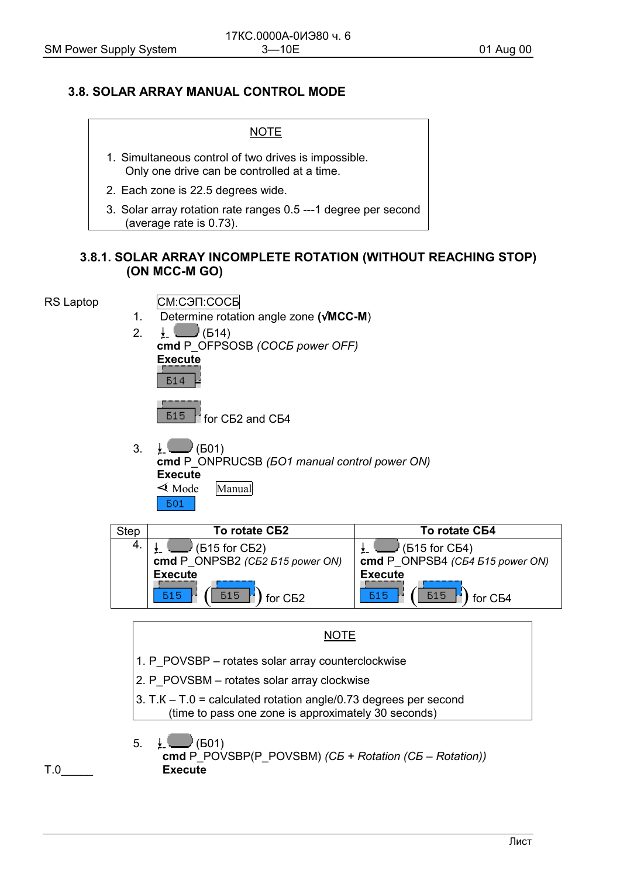#### <span id="page-22-0"></span>**3.8. SOLAR ARRAY MANUAL CONTROL MODE**

| NOTE                                                                                                |
|-----------------------------------------------------------------------------------------------------|
| 1. Simultaneous control of two drives is impossible.<br>Only one drive can be controlled at a time. |
| 2. Each zone is 22.5 degrees wide.                                                                  |
| 3. Solar array rotation rate ranges 0.5 --- 1 degree per second<br>(average rate is 0.73).          |

#### **3.8.1. SOLAR ARRAY INCOMPLETE ROTATION (WITHOUT REACHING STOP) (ON MCC-M GO)**

RS Laptop **CM:СЭП:СОСБ** 

- 1. Determine rotation angle zone **(**√**MCC-M**)
- 2.  $\perp$  (514) **cmd** P\_OFPSOSB *(СОСБ power OFF)* **Execute**  $514$

 $515$   $\text{f}$  for C<sub>52</sub> and C<sub>54</sub>

3.  $\downarrow$  (501) **cmd** P\_ONPRUCSB *(БО1 manual control power ON)* **Execute**  $\triangleleft$  Mode — Manual **601** 

![](_page_22_Figure_12.jpeg)

**NOTE** 

- 1. P\_POVSBP rotates solar array counterclockwise
- 2. P\_POVSBM rotates solar array clockwise
- 3. Т.К Т.0 = calculated rotation angle/0.73 degrees per second (time to pass one zone is approximately 30 seconds)

![](_page_22_Figure_17.jpeg)

![](_page_22_Figure_18.jpeg)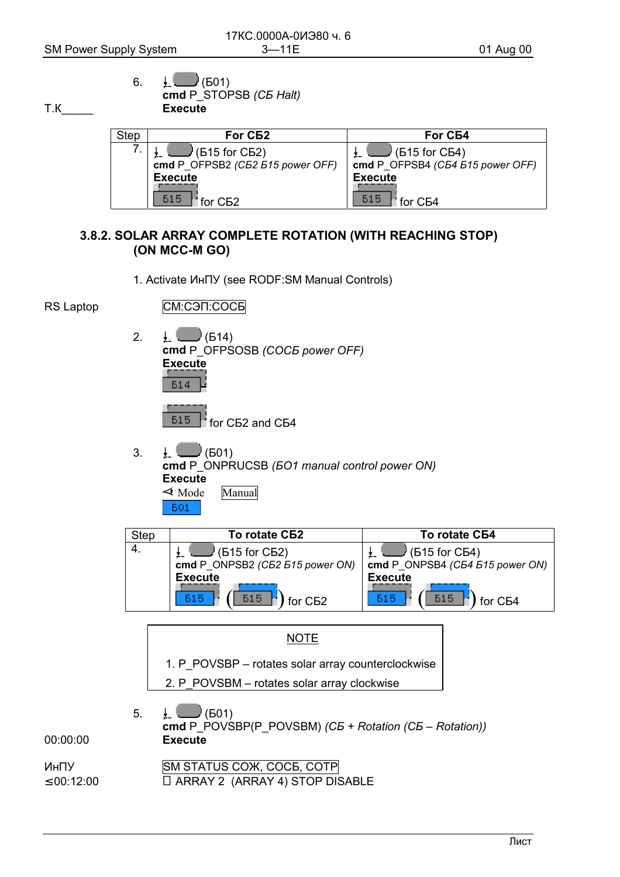<span id="page-23-0"></span>T.K

6. 
$$
\frac{1}{2}
$$
 (E01)  
cmd P\_STOPSB (*CB Half*)  
Execute

| Step | For C <sub>B2</sub>                                            | <b>For СБ4</b>                                              |
|------|----------------------------------------------------------------|-------------------------------------------------------------|
|      | $\mathbb{I}$ (615 for C62)<br>cmd P OFPSB2 (C52 515 power OFF) | $\sqrt{(515)}$ for CB4)<br>cmd P OFPSB4 (C54 515 power OFF) |
|      | <b>Execute</b>                                                 | <b>Execute</b>                                              |
|      | <b>515</b><br>for C <sub>B2</sub>                              | <b>515</b><br>for C <sub>B4</sub>                           |

### 3.8.2. SOLAR ARRAY COMPLETE ROTATION (WITH REACHING STOP) (ON MCC-M GO)

![](_page_23_Figure_6.jpeg)

![](_page_23_Figure_7.jpeg)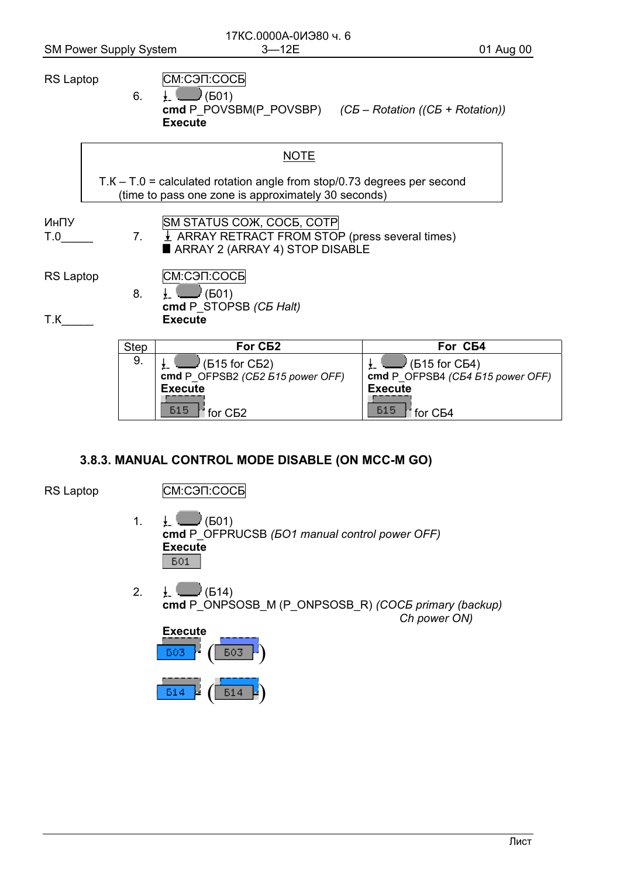6.

 $7<sup>1</sup>$ 

8.

#### <span id="page-24-0"></span>**RS Laptop**

- СМ:СЭП:СОСБ
- $\frac{1}{2}$  (601) cmd P POVSBM(P POVSBP)  $(C5 - Rotation / (C5 + Rotation))$  $Execute$

| <b>NOTE</b>                                                                                                                      |
|----------------------------------------------------------------------------------------------------------------------------------|
| $T.K - T.0$ = calculated rotation angle from stop/0.73 degrees per second<br>(time to pass one zone is approximately 30 seconds) |
| SM STATUS COX, COCE, COTP                                                                                                        |

ИнПУ  $T.0$  ARRAY RETRACT FROM STOP (press several times)

ARRAY 2 (ARRAY 4) STOP DISABLE

RS Laptop

CM:C<sub>3</sub>N:COC<sub>B</sub>

 $\Box$ (601)  $\downarrow$  ! cmd P STOPSB (C5 Halt) **Execute** 

 $T.K$ 

| Step | For C <sub>B2</sub>               | For C <sub>B4</sub>              |
|------|-----------------------------------|----------------------------------|
| 9.   | $\sqrt{515}$ for CB2)             | $\sqrt{615}$ for CB4)            |
|      | cmd P OFPSB2 (C52 515 power OFF)  | cmd P OFPSB4 (C54 515 power OFF) |
|      | <b>Execute</b>                    | <b>Execute</b>                   |
|      | <b>515</b><br>for C <sub>B2</sub> | 615<br>for $C54$                 |

### 3.8.3. MANUAL CONTROL MODE DISABLE (ON MCC-M GO)

RS Laptop

СМ:СЭП:СОСБ

- $\downarrow$  (601)  $\overline{1}$ cmd P OFPRUCSB (501 manual control power OFF) **Execute 601**
- $\downarrow$  (514)  $2.$ cmd P ONPSOSB M (P ONPSOSB R) (COCE primary (backup) Ch power ON)

| <b>Execute</b> |     |
|----------------|-----|
| <b>E03</b>     | 603 |
| E14            | Б14 |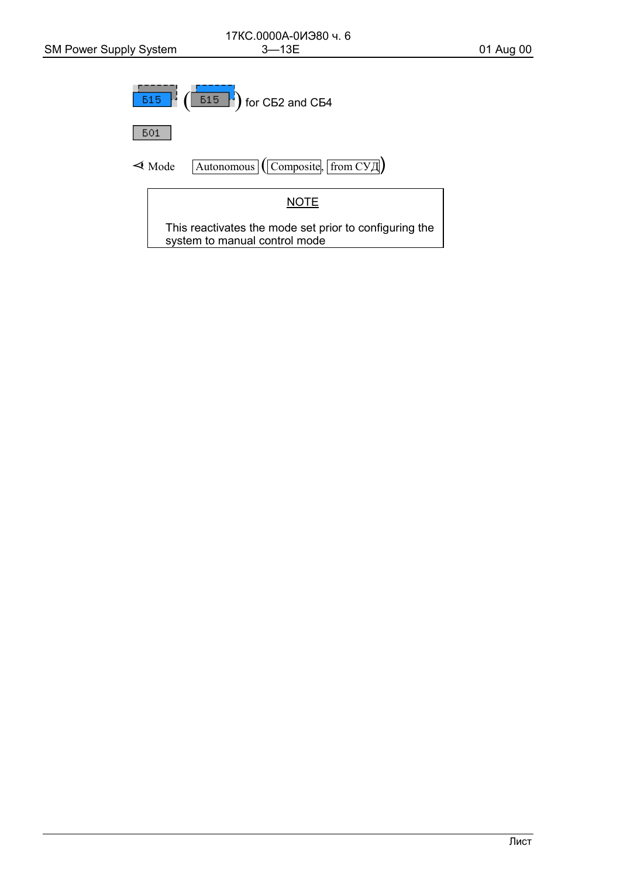![](_page_25_Figure_3.jpeg)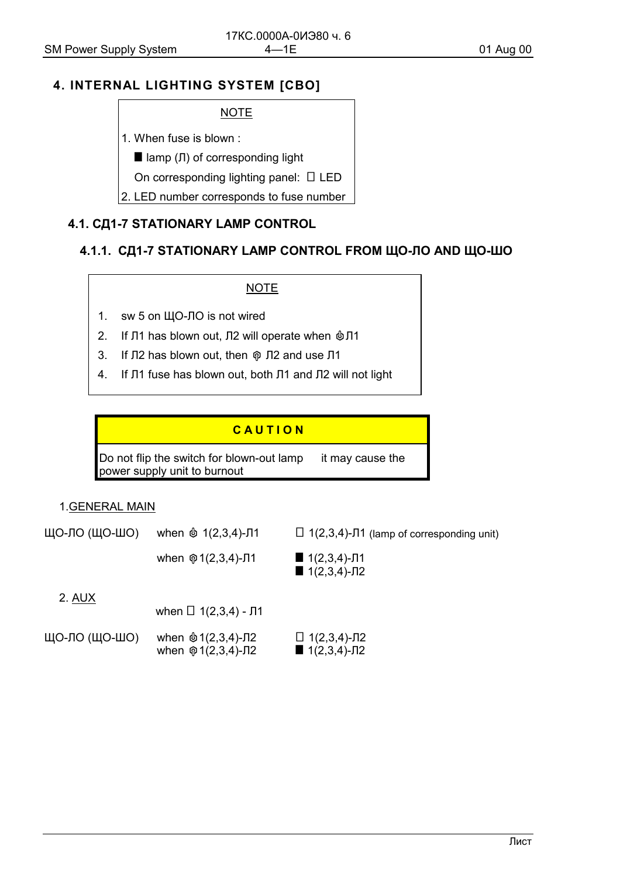## <span id="page-26-0"></span>4. INTERNAL LIGHTING SYSTEM [CBO]

#### **NOTE**

- 1. When fuse is blown:
	- $\blacksquare$  lamp ( $\blacksquare$ ) of corresponding light
	- On corresponding lighting panel:  $\Box$  LED
- 2. LED number corresponds to fuse number

## 4.1. СД1-7 STATIONARY LAMP CONTROL

### 4.1.1. СД1-7 STATIONARY LAMP CONTROL FROM ЩО-ЛО AND ЩО-ШО

#### **NOTE**

- $1<sub>1</sub>$ sw 5 on ЩО-ЛО is not wired
- 2. If Л1 has blown out, Л2 will operate when  $@J1$
- $3.$ If Л2 has blown out, then  $\hat{\varphi}$  Л2 and use Л1
- $4.$ If J1 fuse has blown out, both J1 and J2 will not light

## CAUTION

Do not flip the switch for blown-out lamp - it may cause the power supply unit to burnout

#### 1.GENERAL MAIN

ЩО-ЛО (ЩО-ШО) when  $\&$  1(2,3,4)-J1  $\Box$  1(2,3,4)- $\Pi$ 1 (lamp of corresponding unit)

> $1(2,3,4)-\sqrt{11}$ when  $\mathcal{D}$  1(2,3,4)-J1  $1(2,3,4)-\sqrt{12}$

2. AUX

| when $\Box$ 1(2,3,4) - $\Pi$ 1 |
|--------------------------------|
|                                |

| ЩО-ЛО (ЩО-ШО) | when $\& 1(2,3,4)$ -J2           | $\Box$ 1(2,3,4)-Л2 |
|---------------|----------------------------------|--------------------|
|               | when $\hat{\varphi}$ 1(2,3,4)-Л2 | $1(2,3,4)$ -J2     |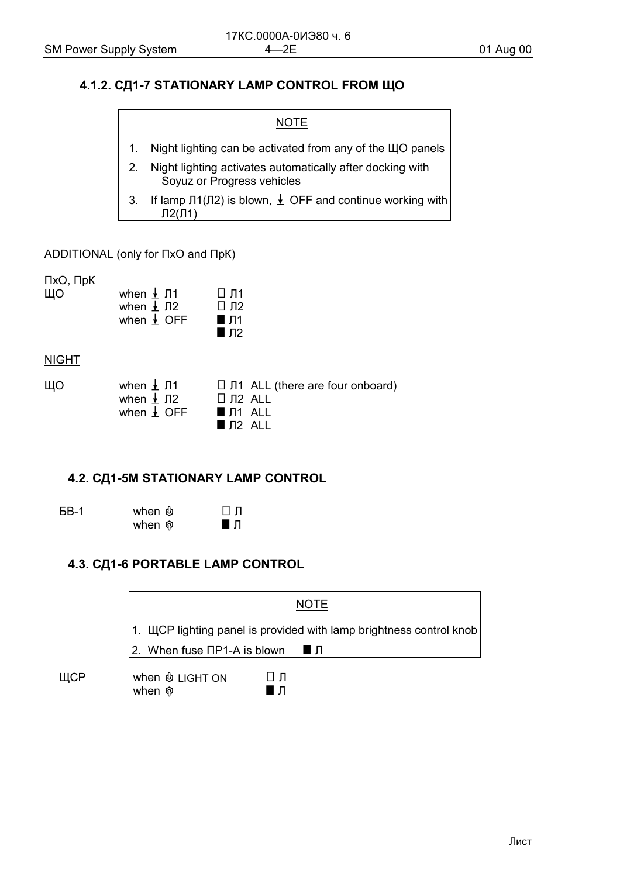#### <span id="page-27-0"></span>4.1.2. СД1-7 STATIONARY LAMP CONTROL FROM ЩО

# **NOTE**

- Night lighting can be activated from any of the ЩО panels  $1<sub>1</sub>$
- Night lighting activates automatically after docking with  $2.$ Soyuz or Progress vehicles
- If lamp  $\Pi( \Pi 2)$  is blown,  $\perp$  OFF and continue working with  $3<sub>1</sub>$  $\Pi2(\Pi1)$

#### **ADDITIONAL (only for IIxO and IIpK)**

ПхО, ПрК

ЩО when  $\frac{1}{2}$  J1  $\Pi$   $\Pi$ 1 when  $\sqrt{12}$  $\square$  Л2 when  $\frac{1}{2}$  OFF  $\blacksquare$   $\Pi$ 1  $\blacksquare$   $\Pi$ 2

**NIGHT** 

| ЩΟ | when $\pm$ J1          | $\Box$ J1 ALL (there are four onboard) |
|----|------------------------|----------------------------------------|
|    | when $\frac{1}{2}$ J12 | □ Л2 ALL                               |
|    | when $\frac{1}{2}$ OFF | J.<br>■ Π1 ALL                         |
|    |                        | IN2 ALL                                |

#### 4.2. СД1-5M STATIONARY LAMP CONTROL

**6B-1** 

 $\Box$   $\Pi$  $\blacksquare$ 

### 4.3. СД1-6 PORTABLE LAMP CONTROL

when  $\&$ 

when ®

![](_page_27_Figure_17.jpeg)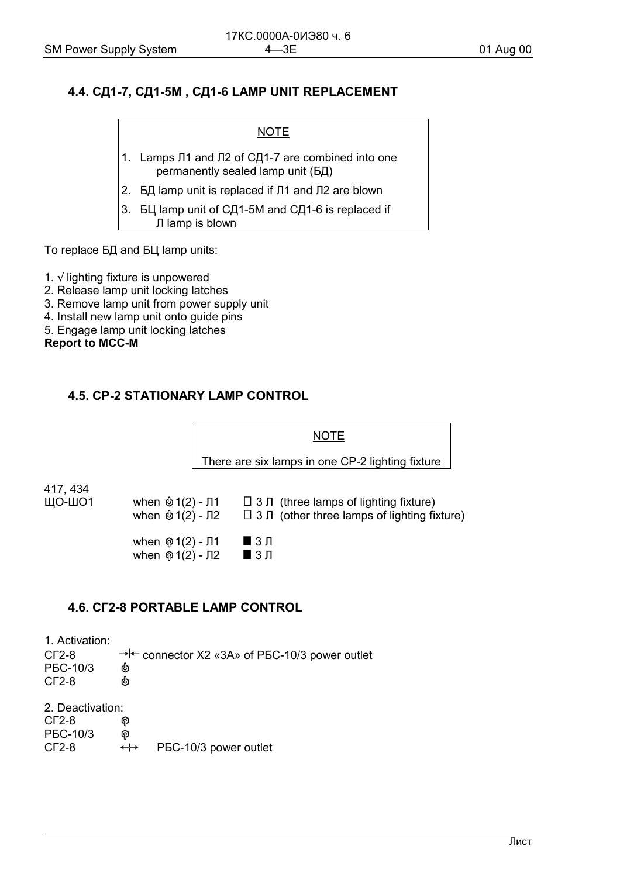#### <span id="page-28-0"></span>4.4. СД1-7, СД1-5М, СД1-6 LAMP UNIT REPLACEMENT

**NOTE** 

- 1. Lamps J1 and J2 of CD1-7 are combined into one permanently sealed lamp unit (БД)
- 2. БД lamp unit is replaced if Л1 and Л2 are blown
- 3. БЦ lamp unit of СД1-5М and СД1-6 is replaced if Л lamp is blown

To replace БД and БЦ lamp units:

- 1.  $\sqrt$  lighting fixture is unpowered
- 2. Release lamp unit locking latches
- 3. Remove lamp unit from power supply unit
- 4. Install new lamp unit onto quide pins
- 5. Engage lamp unit locking latches

**Report to MCC-M** 

#### **4.5. CP-2 STATIONARY LAMP CONTROL**

![](_page_28_Figure_16.jpeg)

### **4.6. CF2-8 PORTABLE LAMP CONTROL**

1. Activation:  $\rightarrow$  + connector X2 «3A» of PBC-10/3 power outlet  $CT2-8$ PEC-10/3 டு  $CT2-8$ 2. Deactivation:  $CT2-8$ ଜ PEC-10/3 ଜ  $CT2-8$ PEC-10/3 power outlet  $\leftrightarrow$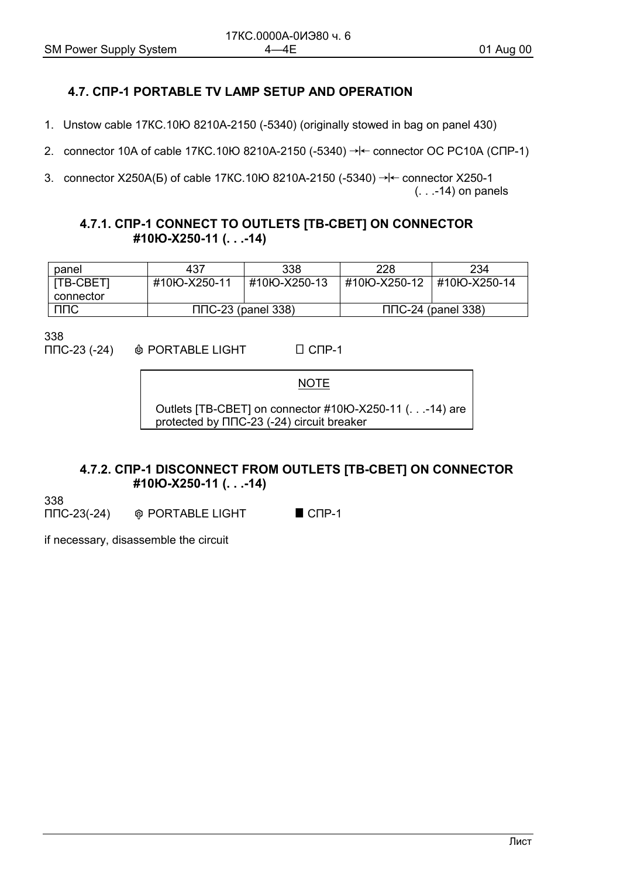## <span id="page-29-0"></span>4.7. CNP-1 PORTABLE TV LAMP SETUP AND OPERATION

- 1. Unstow cable 17KC.10IO 8210A-2150 (-5340) (originally stowed in bag on panel 430)
- 2. connector 10A of cable 17KC.10HO 8210A-2150 (-5340)  $\rightarrow$   $\leftarrow$  connector OC PC10A (CNP-1)

3. connector X250A(b) of cable 17KC.10lO 8210A-2150 (-5340)  $\rightarrow$   $\leftarrow$  connector X250-1  $($ ...-14) on panels

#### 4.7.1. CNP-1 CONNECT TO OUTLETS [TB-CBET] ON CONNECTOR #10Ю-Х250-11 (...-14)

| panel     | 437                    | 338          | 228                    | 234           |
|-----------|------------------------|--------------|------------------------|---------------|
| [TB-CBET] | #10IO-X250-11          | #10Ю-Х250-13 | #10Ю-Х250-12           | #10IO-X250-14 |
| connector |                        |              |                        |               |
| ППС       | $\Pi$ C-23 (panel 338) |              | $\Pi$ C-24 (panel 338) |               |

338

 $\Pi$ C-23 (-24)  $\Box$  C<sub> $\Box$ P-1</sub> *O* PORTABLE LIGHT

**NOTE** 

Outlets [TB-CBET] on connector #10IO-X250-11 (. . .-14) are protected by  $\Pi \Pi C$ -23 (-24) circuit breaker

#### 4.7.2. CNP-1 DISCONNECT FROM OUTLETS [TB-CBET] ON CONNECTOR #10IO-X250-11 (...-14)

338

 $\Pi$ DC-23(-24) **@ PORTABLE LIGHT**  $\blacksquare$  CNP-1

if necessary, disassemble the circuit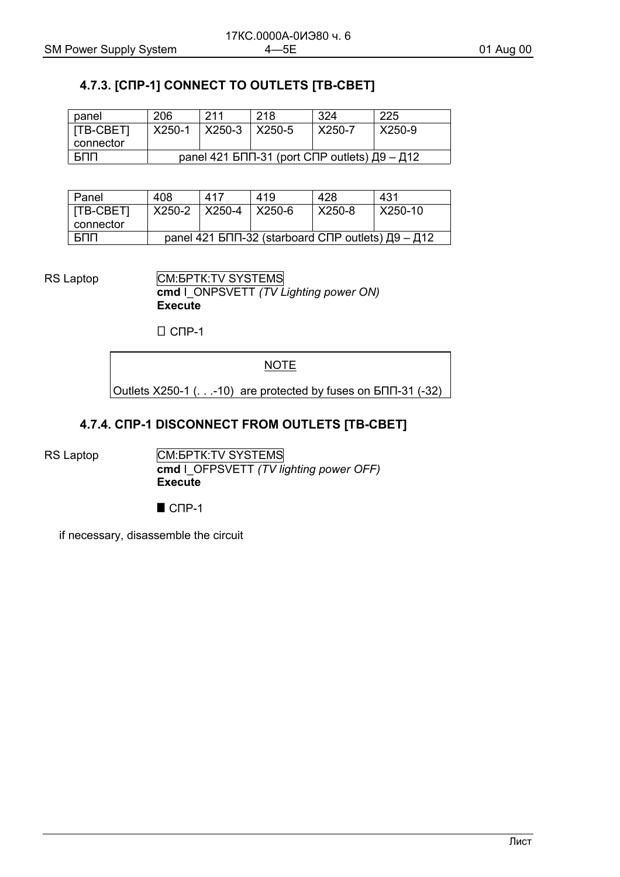# <span id="page-30-0"></span>**4.7.3. [СПР-1] CONNECT TO OUTLETS [ТВ-СВЕТ]**

| panel                  | 206                                                    | 211                         | 218 | 324           | 225    |
|------------------------|--------------------------------------------------------|-----------------------------|-----|---------------|--------|
| [TB-CBET]<br>connector | X250-1                                                 | $\mid$ X250-3 $\mid$ X250-5 |     | $\mid$ X250-7 | X250-9 |
| БПП                    | panel 421 БПП-31 (port СПР outlets) $\Box 9 - \Box 12$ |                             |     |               |        |

| Panel                  | 408                                                                       | 417                      | 419 | 428    | 431     |
|------------------------|---------------------------------------------------------------------------|--------------------------|-----|--------|---------|
| [TB-CBET]<br>connector |                                                                           | X250-2   X250-4   X250-6 |     | X250-8 | X250-10 |
| БПП                    | panel 421 БПП-32 (starboard СПР outlets) $\overline{A}9 - \overline{A}12$ |                          |     |        |         |

RS Laptop **CM:** GENERAL SYSTEMS **cmd** I\_ONPSVETT *(TV Lighting power ON)* **Execute** 

 $\Box$  СПР-1

**NOTE** 

Outlets Х250-1 (. . .-10) are protected by fuses on БПП-31 (-32)

#### **4.7.4. СПР-1 DISCONNECT FROM OUTLETS [ТВ-СВЕТ]**

RS Laptop **CM: GM:** GM: **SYSTEMS cmd** I\_OFPSVETT *(TV lighting power OFF)* **Execute** 

 $\blacksquare$  СПР-1

if necessary, disassemble the circuit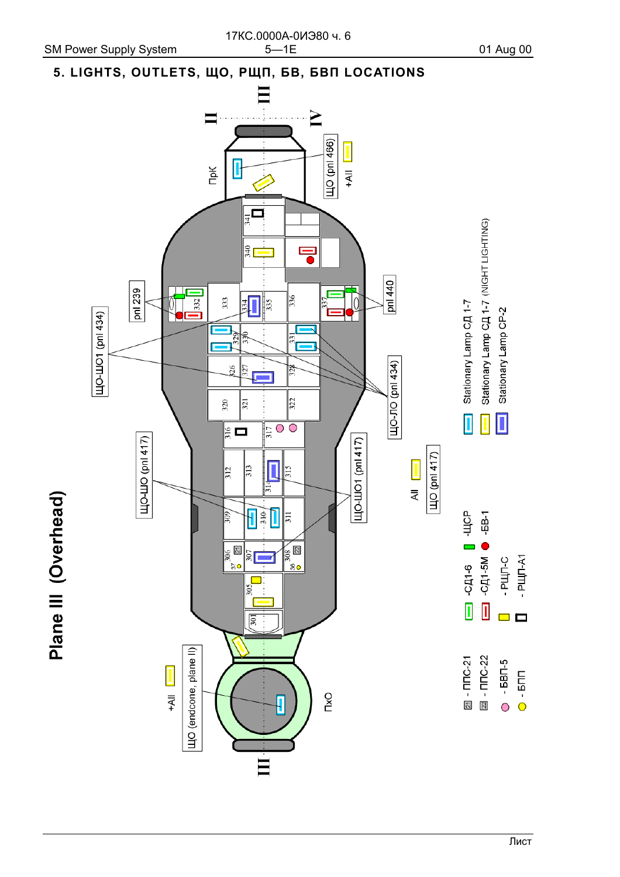Plane III (Overhead)

# <span id="page-31-0"></span>5. LIGHTS, OUTLETS, ЩО, РЩП, БВ, БВП LOCATIONS

![](_page_31_Figure_4.jpeg)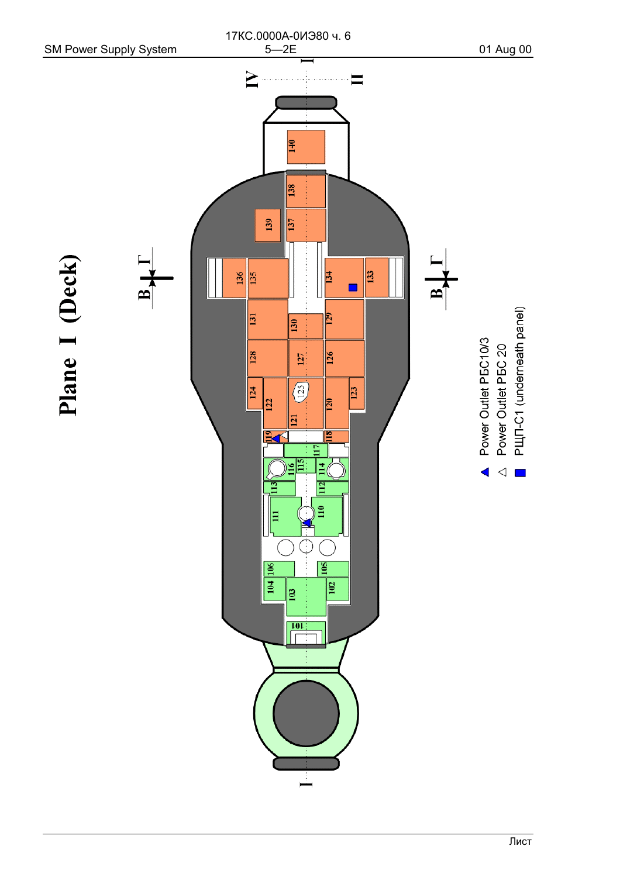![](_page_32_Figure_0.jpeg)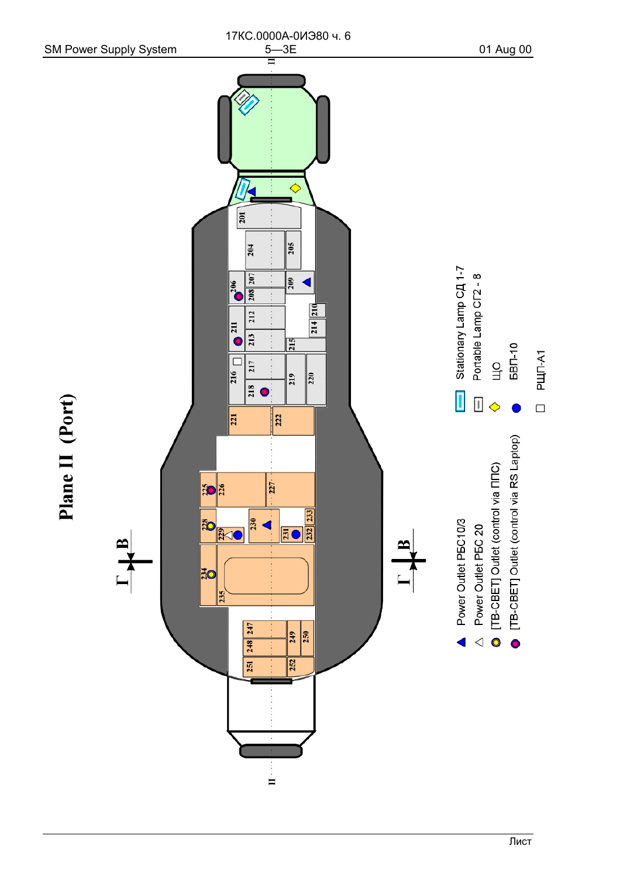![](_page_33_Figure_0.jpeg)

Лист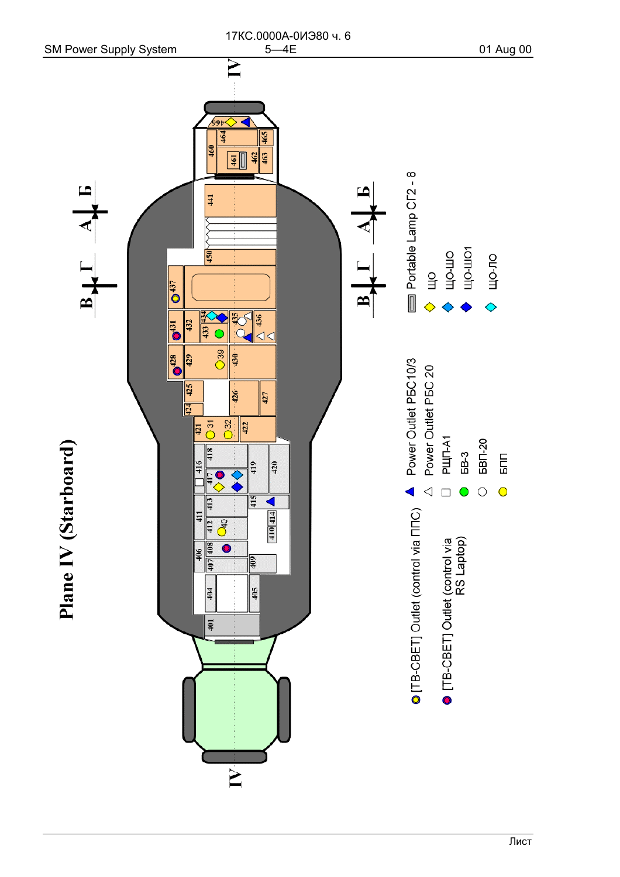![](_page_34_Figure_0.jpeg)

Лист

# 17КС.0000А-0ИЭ80 ч. 6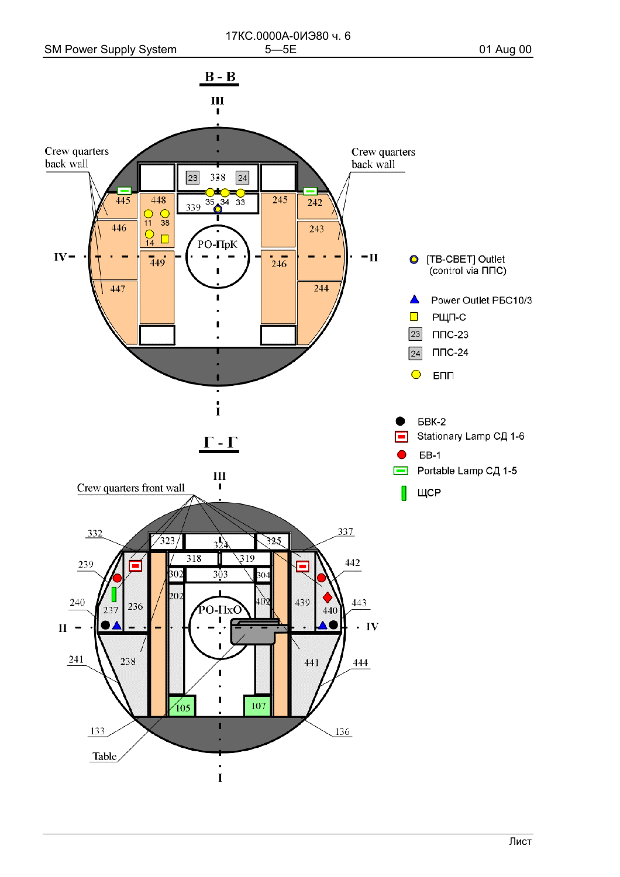![](_page_35_Figure_3.jpeg)